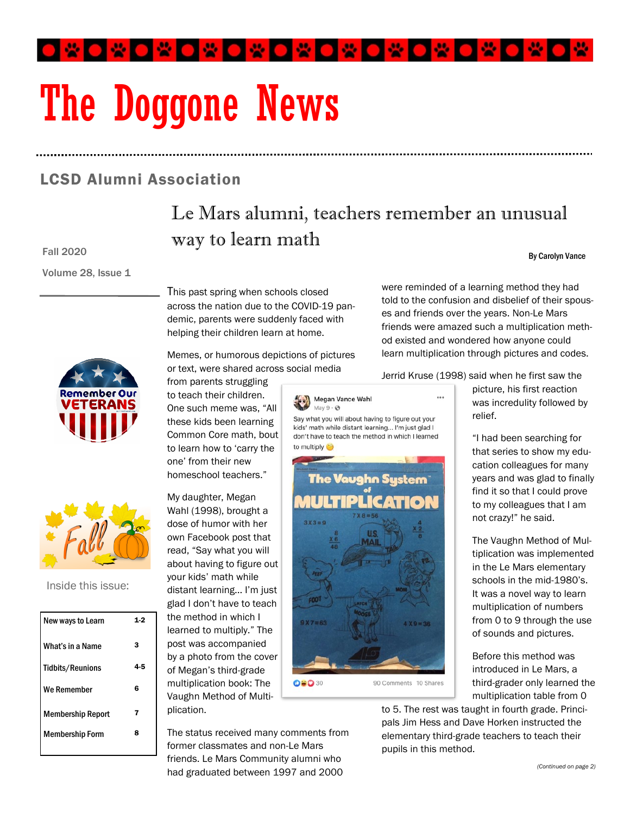O ₩ O ₩ O ₩ O ₩ O ₩ O ₩ O ₩ O  $\circ$ 

# The Doggone News

## LCSD Alumni Association

# Le Mars alumni, teachers remember an unusual way to learn math

#### Fall 2020

Volume 28, Issue 1

This past spring when schools closed across the nation due to the COVID-19 pandemic, parents were suddenly faced with helping their children learn at home.

Memes, or humorous depictions of pictures or text, were shared across social media

from parents struggling to teach their children. One such meme was, "All these kids been learning Common Core math, bout to learn how to 'carry the one' from their new homeschool teachers."

My daughter, Megan Wahl (1998), brought a dose of humor with her own Facebook post that read, "Say what you will about having to figure out your kids' math while distant learning... I'm just glad I don't have to teach the method in which I learned to multiply." The post was accompanied by a photo from the cover of Megan's third-grade multiplication book: The Vaughn Method of Multiplication.

The status received many comments from former classmates and non-Le Mars friends. Le Mars Community alumni who had graduated between 1997 and 2000

were reminded of a learning method they had told to the confusion and disbelief of their spouses and friends over the years. Non-Le Mars friends were amazed such a multiplication method existed and wondered how anyone could learn multiplication through pictures and codes.

Jerrid Kruse (1998) said when he first saw the

 $\ddot{\phantom{0}}$ 



Say what you will about having to figure out your kids' math while distant learning... I'm just glad I don't have to teach the method in which I learned to multiply



picture, his first reaction was incredulity followed by relief.

By Carolyn Vance

"I had been searching for that series to show my education colleagues for many years and was glad to finally find it so that I could prove to my colleagues that I am not crazy!" he said.

The Vaughn Method of Multiplication was implemented in the Le Mars elementary schools in the mid-1980's. It was a novel way to learn multiplication of numbers from 0 to 9 through the use of sounds and pictures.

Before this method was introduced in Le Mars, a third-grader only learned the multiplication table from 0

to 5. The rest was taught in fourth grade. Principals Jim Hess and Dave Horken instructed the elementary third-grade teachers to teach their pupils in this method.





Inside this issue:

| New ways to Learn        |    |
|--------------------------|----|
| What's in a Name         | з  |
| <b>Tidbits/Reunions</b>  | 45 |
| We Remember              | 6  |
| <b>Membership Report</b> | 7  |
| <b>Membership Form</b>   | ន  |
|                          |    |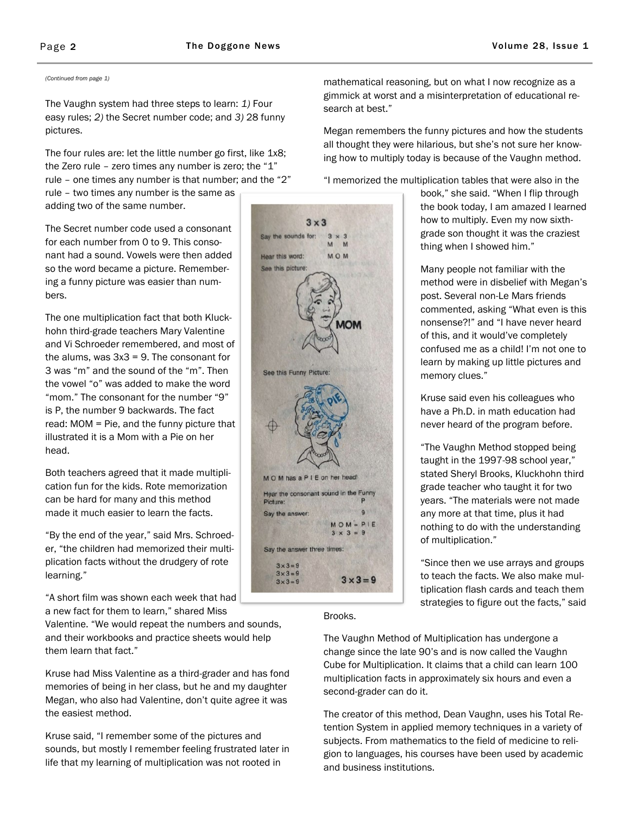The Vaughn system had three steps to learn: *1)* Four easy rules; *2)* the Secret number code; and *3)* 28 funny pictures.

The four rules are: let the little number go first, like 1x8; the Zero rule – zero times any number is zero; the "1" rule – one times any number is that number; and the "2"

rule – two times any number is the same as adding two of the same number.

The Secret number code used a consonant for each number from 0 to 9. This consonant had a sound. Vowels were then added so the word became a picture. Remembering a funny picture was easier than numbers.

The one multiplication fact that both Kluckhohn third-grade teachers Mary Valentine and Vi Schroeder remembered, and most of the alums, was  $3x3 = 9$ . The consonant for 3 was "m" and the sound of the "m". Then the vowel "o" was added to make the word "mom." The consonant for the number "9" is P, the number 9 backwards. The fact read: MOM = Pie, and the funny picture that illustrated it is a Mom with a Pie on her head.

Both teachers agreed that it made multiplication fun for the kids. Rote memorization can be hard for many and this method made it much easier to learn the facts.

"By the end of the year," said Mrs. Schroeder, "the children had memorized their multiplication facts without the drudgery of rote learning."

"A short film was shown each week that had a new fact for them to learn," shared Miss

Valentine. "We would repeat the numbers and sounds, and their workbooks and practice sheets would help them learn that fact."

Kruse had Miss Valentine as a third-grader and has fond memories of being in her class, but he and my daughter Megan, who also had Valentine, don't quite agree it was the easiest method.

Kruse said, "I remember some of the pictures and sounds, but mostly I remember feeling frustrated later in life that my learning of multiplication was not rooted in

 $3 \times 3$ Say the sounds for:  $3 \times 3$  $\overline{M}$ M Hear this word: **MOM** See this picture: See this Funny Picture: M O M has a P I E on her head! Hear the consonant sound in the Funny Picture: P q Say the answer:  $MOM = PIE$  $3 \times 3 = 9$ Say the answer three times:  $3 \times 3 = 9$  $3 \times 3 = 9$  $3 \times 3 = 9$  $3 \times 3 = 9$ 

Brooks.

The Vaughn Method of Multiplication has undergone a change since the late 90's and is now called the Vaughn Cube for Multiplication. It claims that a child can learn 100 multiplication facts in approximately six hours and even a second-grader can do it.

The creator of this method, Dean Vaughn, uses his Total Retention System in applied memory techniques in a variety of subjects. From mathematics to the field of medicine to religion to languages, his courses have been used by academic and business institutions.

*(Continued from page 1)* mathematical reasoning, but on what I now recognize as a gimmick at worst and a misinterpretation of educational research at best."

> Megan remembers the funny pictures and how the students all thought they were hilarious, but she's not sure her knowing how to multiply today is because of the Vaughn method.

"I memorized the multiplication tables that were also in the

book," she said. "When I flip through the book today, I am amazed I learned how to multiply. Even my now sixthgrade son thought it was the craziest thing when I showed him."

Many people not familiar with the method were in disbelief with Megan's post. Several non-Le Mars friends commented, asking "What even is this nonsense?!" and "I have never heard of this, and it would've completely confused me as a child! I'm not one to learn by making up little pictures and memory clues."

Kruse said even his colleagues who have a Ph.D. in math education had never heard of the program before.

"The Vaughn Method stopped being taught in the 1997-98 school year," stated Sheryl Brooks, Kluckhohn third grade teacher who taught it for two years. "The materials were not made any more at that time, plus it had nothing to do with the understanding of multiplication."

"Since then we use arrays and groups to teach the facts. We also make multiplication flash cards and teach them strategies to figure out the facts," said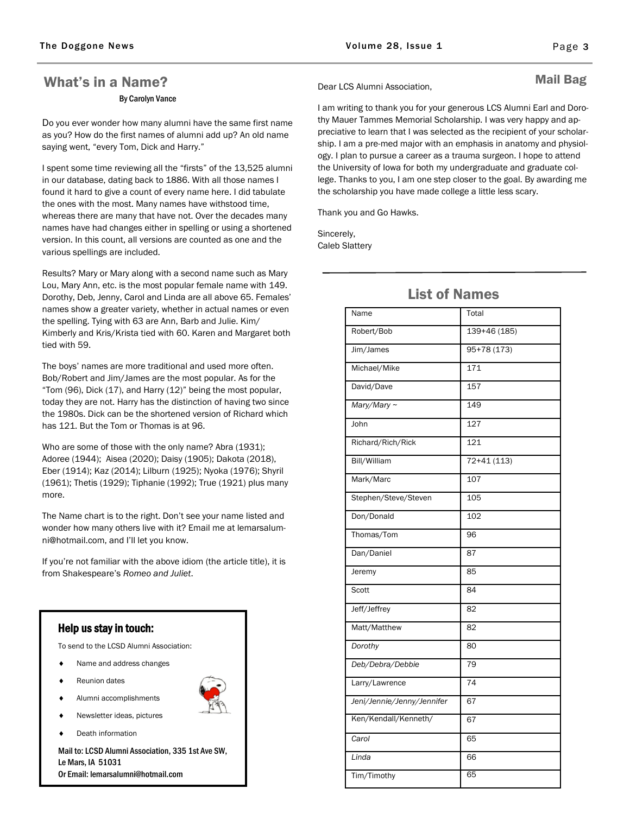## What's in a Name? By Carolyn Vance

Do you ever wonder how many alumni have the same first name as you? How do the first names of alumni add up? An old name saying went, "every Tom, Dick and Harry."

I spent some time reviewing all the "firsts" of the 13,525 alumni in our database, dating back to 1886. With all those names I found it hard to give a count of every name here. I did tabulate the ones with the most. Many names have withstood time, whereas there are many that have not. Over the decades many names have had changes either in spelling or using a shortened version. In this count, all versions are counted as one and the various spellings are included.

Results? Mary or Mary along with a second name such as Mary Lou, Mary Ann, etc. is the most popular female name with 149. Dorothy, Deb, Jenny, Carol and Linda are all above 65. Females' names show a greater variety, whether in actual names or even the spelling. Tying with 63 are Ann, Barb and Julie. Kim/ Kimberly and Kris/Krista tied with 60. Karen and Margaret both tied with 59.

The boys' names are more traditional and used more often. Bob/Robert and Jim/James are the most popular. As for the "Tom (96), Dick (17), and Harry (12)" being the most popular, today they are not. Harry has the distinction of having two since the 1980s. Dick can be the shortened version of Richard which has 121. But the Tom or Thomas is at 96.

Who are some of those with the only name? Abra (1931); Adoree (1944); Aisea (2020); Daisy (1905); Dakota (2018), Eber (1914); Kaz (2014); Lilburn (1925); Nyoka (1976); Shyril (1961); Thetis (1929); Tiphanie (1992); True (1921) plus many more.

The Name chart is to the right. Don't see your name listed and wonder how many others live with it? Email me at lemarsalumni@hotmail.com, and I'll let you know.

If you're not familiar with the above idiom (the article title), it is from Shakespeare's *Romeo and Juliet*.

#### Help us stay in touch:

To send to the LCSD Alumni Association:

- ◆ Name and address changes
- Reunion dates
- Alumni accomplishments
- Newsletter ideas, pictures
- Death information

Mail to: LCSD Alumni Association, 335 1st Ave SW, Le Mars, IA 51031 Or Email: lemarsalumni@hotmail.com

Dear LCS Alumni Association,

#### Mail Bag

I am writing to thank you for your generous LCS Alumni Earl and Dorothy Mauer Tammes Memorial Scholarship. I was very happy and appreciative to learn that I was selected as the recipient of your scholarship. I am a pre-med major with an emphasis in anatomy and physiology. I plan to pursue a career as a trauma surgeon. I hope to attend the University of Iowa for both my undergraduate and graduate college. Thanks to you, I am one step closer to the goal. By awarding me the scholarship you have made college a little less scary.

Thank you and Go Hawks.

Sincerely, Caleb Slattery

| Name                       | Total        |
|----------------------------|--------------|
| Robert/Bob                 | 139+46 (185) |
| Jim/James                  | $95+78(173)$ |
| Michael/Mike               | 171          |
| David/Dave                 | 157          |
| Mary/Mary ~                | 149          |
| John                       | 127          |
| Richard/Rich/Rick          | 121          |
| Bill/William               | $72+41(113)$ |
| Mark/Marc                  | 107          |
| Stephen/Steve/Steven       | 105          |
| Don/Donald                 | 102          |
| Thomas/Tom                 | 96           |
| Dan/Daniel                 | 87           |
| Jeremy                     | 85           |
| Scott                      | 84           |
| Jeff/Jeffrey               | 82           |
| Matt/Matthew               | 82           |
| Dorothy                    | 80           |
| Deb/Debra/Debbie           | 79           |
| Larry/Lawrence             | 74           |
| Jeni/Jennie/Jenny/Jennifer | 67           |
| Ken/Kendall/Kenneth/       | 67           |
| Carol                      | 65           |
| Linda                      | 66           |
| Tim/Timothy                | 65           |
|                            |              |

## List of Names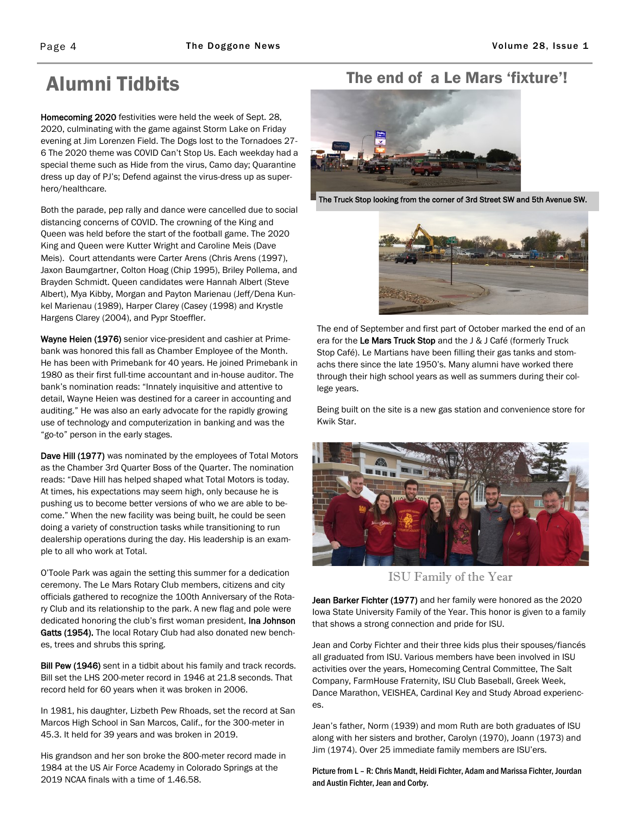# Alumni Tidbits

Homecoming 2020 festivities were held the week of Sept. 28, 2020, culminating with the game against Storm Lake on Friday evening at Jim Lorenzen Field. The Dogs lost to the Tornadoes 27- 6 The 2020 theme was COVID Can't Stop Us. Each weekday had a special theme such as Hide from the virus, Camo day; Quarantine dress up day of PJ's; Defend against the virus-dress up as superhero/healthcare.

Both the parade, pep rally and dance were cancelled due to social distancing concerns of COVID. The crowning of the King and Queen was held before the start of the football game. The 2020 King and Queen were Kutter Wright and Caroline Meis (Dave Meis). Court attendants were Carter Arens (Chris Arens (1997), Jaxon Baumgartner, Colton Hoag (Chip 1995), Briley Pollema, and Brayden Schmidt. Queen candidates were Hannah Albert (Steve Albert), Mya Kibby, Morgan and Payton Marienau (Jeff/Dena Kunkel Marienau (1989), Harper Clarey (Casey (1998) and Krystle Hargens Clarey (2004), and Pypr Stoeffler.

Wayne Heien (1976) senior vice-president and cashier at Primebank was honored this fall as Chamber Employee of the Month. He has been with Primebank for 40 years. He joined Primebank in 1980 as their first full-time accountant and in-house auditor. The bank's nomination reads: "Innately inquisitive and attentive to detail, Wayne Heien was destined for a career in accounting and auditing." He was also an early advocate for the rapidly growing use of technology and computerization in banking and was the "go-to" person in the early stages.

Dave Hill (1977) was nominated by the employees of Total Motors as the Chamber 3rd Quarter Boss of the Quarter. The nomination reads: "Dave Hill has helped shaped what Total Motors is today. At times, his expectations may seem high, only because he is pushing us to become better versions of who we are able to become." When the new facility was being built, he could be seen doing a variety of construction tasks while transitioning to run dealership operations during the day. His leadership is an example to all who work at Total.

O'Toole Park was again the setting this summer for a dedication ceremony. The Le Mars Rotary Club members, citizens and city officials gathered to recognize the 100th Anniversary of the Rotary Club and its relationship to the park. A new flag and pole were dedicated honoring the club's first woman president, Ina Johnson Gatts (1954). The local Rotary Club had also donated new benches, trees and shrubs this spring.

Bill Pew (1946) sent in a tidbit about his family and track records. Bill set the LHS 200-meter record in 1946 at 21.8 seconds. That record held for 60 years when it was broken in 2006.

In 1981, his daughter, Lizbeth Pew Rhoads, set the record at San Marcos High School in San Marcos, Calif., for the 300-meter in 45.3. It held for 39 years and was broken in 2019.

His grandson and her son broke the 800-meter record made in 1984 at the US Air Force Academy in Colorado Springs at the 2019 NCAA finals with a time of 1.46.58.

## The end of a Le Mars 'fixture'!



The Truck Stop looking from the corner of 3rd Street SW and 5th Avenue SW.



The end of September and first part of October marked the end of an era for the Le Mars Truck Stop and the J & J Café (formerly Truck Stop Café). Le Martians have been filling their gas tanks and stomachs there since the late 1950's. Many alumni have worked there through their high school years as well as summers during their college years.

Being built on the site is a new gas station and convenience store for Kwik Star.



ISU Family of the Year

Jean Barker Fichter (1977) and her family were honored as the 2020 Iowa State University Family of the Year. This honor is given to a family that shows a strong connection and pride for ISU.

Jean and Corby Fichter and their three kids plus their spouses/fiancés all graduated from ISU. Various members have been involved in ISU activities over the years, Homecoming Central Committee, The Salt Company, FarmHouse Fraternity, ISU Club Baseball, Greek Week, Dance Marathon, VEISHEA, Cardinal Key and Study Abroad experiences.

Jean's father, Norm (1939) and mom Ruth are both graduates of ISU along with her sisters and brother, Carolyn (1970), Joann (1973) and Jim (1974). Over 25 immediate family members are ISU'ers.

Picture from L – R: Chris Mandt, Heidi Fichter, Adam and Marissa Fichter, Jourdan and Austin Fichter, Jean and Corby.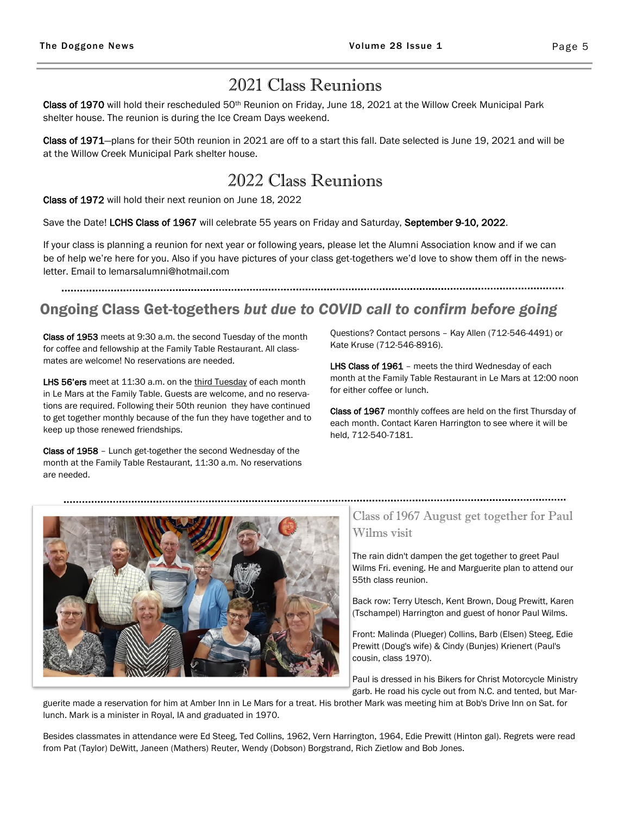## 2021 Class Reunions

Class of 1970 will hold their rescheduled 50<sup>th</sup> Reunion on Friday, June 18, 2021 at the Willow Creek Municipal Park shelter house. The reunion is during the Ice Cream Days weekend.

Class of 1971—plans for their 50th reunion in 2021 are off to a start this fall. Date selected is June 19, 2021 and will be at the Willow Creek Municipal Park shelter house.

# 2022 Class Reunions

Class of 1972 will hold their next reunion on June 18, 2022

Save the Date! LCHS Class of 1967 will celebrate 55 years on Friday and Saturday, September 9-10, 2022.

If your class is planning a reunion for next year or following years, please let the Alumni Association know and if we can be of help we're here for you. Also if you have pictures of your class get-togethers we'd love to show them off in the newsletter. Email to lemarsalumni@hotmail.com

# Ongoing Class Get-togethers *but due to COVID call to confirm before going*

Class of 1953 meets at 9:30 a.m. the second Tuesday of the month for coffee and fellowship at the Family Table Restaurant. All classmates are welcome! No reservations are needed.

LHS 56'ers meet at 11:30 a.m. on the third Tuesday of each month in Le Mars at the Family Table. Guests are welcome, and no reservations are required. Following their 50th reunion they have continued to get together monthly because of the fun they have together and to keep up those renewed friendships.

Class of 1958 – Lunch get-together the second Wednesday of the month at the Family Table Restaurant, 11:30 a.m. No reservations are needed.

Questions? Contact persons – Kay Allen (712-546-4491) or Kate Kruse (712-546-8916).

LHS Class of 1961 - meets the third Wednesday of each month at the Family Table Restaurant in Le Mars at 12:00 noon for either coffee or lunch.

Class of 1967 monthly coffees are held on the first Thursday of each month. Contact Karen Harrington to see where it will be held, 712-540-7181.



### Class of 1967 August get together for Paul Wilms visit

The rain didn't dampen the get together to greet Paul Wilms Fri. evening. He and Marguerite plan to attend our 55th class reunion.

Back row: Terry Utesch, Kent Brown, Doug Prewitt, Karen (Tschampel) Harrington and guest of honor Paul Wilms.

Front: Malinda (Plueger) Collins, Barb (Elsen) Steeg, Edie Prewitt (Doug's wife) & Cindy (Bunjes) Krienert (Paul's cousin, class 1970).

Paul is dressed in his Bikers for Christ Motorcycle Ministry garb. He road his cycle out from N.C. and tented, but Mar-

guerite made a reservation for him at Amber Inn in Le Mars for a treat. His brother Mark was meeting him at Bob's Drive Inn on Sat. for lunch. Mark is a minister in Royal, IA and graduated in 1970.

Besides classmates in attendance were Ed Steeg, Ted Collins, 1962, Vern Harrington, 1964, Edie Prewitt (Hinton gal). Regrets were read from Pat (Taylor) DeWitt, Janeen (Mathers) Reuter, Wendy (Dobson) Borgstrand, Rich Zietlow and Bob Jones.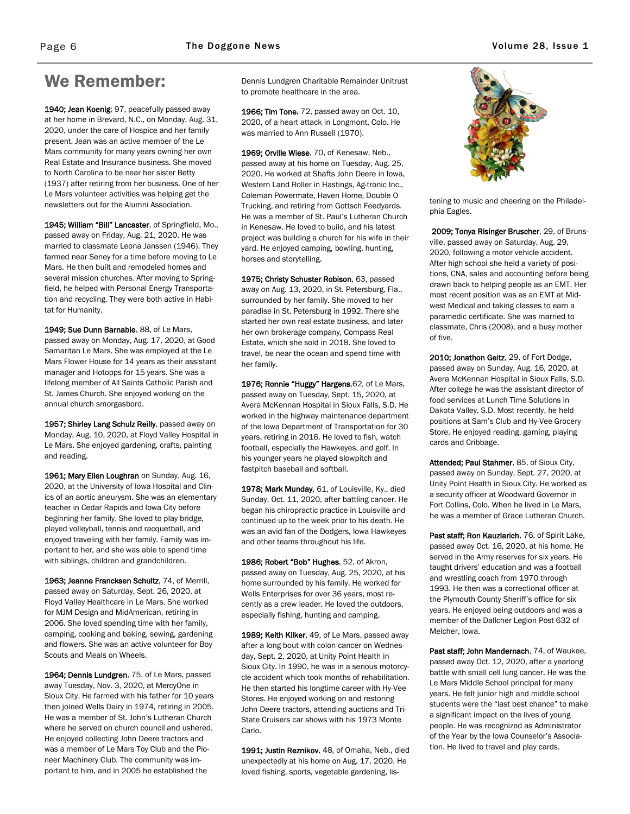# We Remember:

1940; Jean Koenig: 97, peacefully passed away at her home in Brevard, N.C., on Monday, Aug. 31, 2020, under the care of Hospice and her family present. Jean was an active member of the Le Mars community for many years owning her own Real Estate and Insurance business. She moved to North Carolina to be near her sister Betty (1937) after retiring from her business. One of her Le Mars volunteer activities was helping get the newsletters out for the Alumni Association.

1945; William "Bill" Lancaster, of Springfield, Mo., passed away on Friday, Aug. 21, 2020. He was married to classmate Leona Janssen (1946). They farmed near Seney for a time before moving to Le Mars. He then built and remodeled homes and several mission churches. After moving to Springfield, he helped with Personal Energy Transportation and recycling. They were both active in Habitat for Humanity.

1949; Sue Dunn Barnable, 88, of Le Mars, passed away on Monday, Aug. 17, 2020, at Good Samaritan Le Mars. She was employed at the Le Mars Flower House for 14 years as their assistant manager and Hotopps for 15 years. She was a lifelong member of All Saints Catholic Parish and St. James Church. She enjoyed working on the annual church smorgasbord.

1957; Shirley Lang Schulz Reilly, passed away on Monday, Aug. 10, 2020, at Floyd Valley Hospital in Le Mars. She enjoyed gardening, crafts, painting and reading.

1961; Mary Ellen Loughran on Sunday, Aug. 16, 2020, at the University of Iowa Hospital and Clinics of an aortic aneurysm. She was an elementary teacher in Cedar Rapids and Iowa City before beginning her family. She loved to play bridge, played volleyball, tennis and racquetball, and enjoyed traveling with her family. Family was important to her, and she was able to spend time with siblings, children and grandchildren.

1963; Jeanne Francksen Schultz, 74, of Merrill, passed away on Saturday, Sept. 26, 2020, at Floyd Valley Healthcare in Le Mars. She worked for MJM Design and MidAmerican, retiring in 2006. She loved spending time with her family, camping, cooking and baking, sewing, gardening and flowers. She was an active volunteer for Boy Scouts and Meals on Wheels.

1964; Dennis Lundgren, 75, of Le Mars, passed away Tuesday, Nov. 3, 2020, at MercyOne in Sioux City. He farmed with his father for 10 years then joined Wells Dairy in 1974, retiring in 2005. He was a member of St. John's Lutheran Church where he served on church council and ushered. He enjoyed collecting John Deere tractors and was a member of Le Mars Toy Club and the Pioneer Machinery Club. The community was important to him, and in 2005 he established the

Dennis Lundgren Charitable Remainder Unitrust to promote healthcare in the area.

1966; Tim Tone, 72, passed away on Oct. 10, 2020, of a heart attack in Longmont, Colo. He was married to Ann Russell (1970).

1969; Orville Wiese, 70, of Kenesaw, Neb., passed away at his home on Tuesday, Aug. 25, 2020. He worked at Shafts John Deere in Iowa, Western Land Roller in Hastings, Ag-tronic Inc., Coleman Powermate, Haven Home, Double O Trucking, and retiring from Gottsch Feedyards. He was a member of St. Paul's Lutheran Church in Kenesaw. He loved to build, and his latest project was building a church for his wife in their yard. He enjoyed camping, bowling, hunting, horses and storytelling.

1975; Christy Schuster Robison, 63, passed away on Aug. 13, 2020, in St. Petersburg, Fla., surrounded by her family. She moved to her paradise in St. Petersburg in 1992. There she started her own real estate business, and later her own brokerage company, Compass Real Estate, which she sold in 2018. She loved to travel, be near the ocean and spend time with her family.

1976; Ronnie "Huggy" Hargens, 62, of Le Mars, passed away on Tuesday, Sept. 15, 2020, at Avera McKennan Hospital in Sioux Falls, S.D. He worked in the highway maintenance department of the Iowa Department of Transportation for 30 years, retiring in 2016. He loved to fish, watch football, especially the Hawkeyes, and golf. In his younger years he played slowpitch and fastpitch baseball and softball.

1978; Mark Munday, 61, of Louisville, Ky., died Sunday, Oct. 11, 2020, after battling cancer. He began his chiropractic practice in Louisville and continued up to the week prior to his death. He was an avid fan of the Dodgers, Iowa Hawkeyes and other teams throughout his life.

1986; Robert "Bob" Hughes, 52, of Akron, passed away on Tuesday, Aug. 25, 2020, at his home surrounded by his family. He worked for Wells Enterprises for over 36 years, most recently as a crew leader. He loved the outdoors, especially fishing, hunting and camping.

1989; Keith Kilker, 49, of Le Mars, passed away after a long bout with colon cancer on Wednesday, Sept. 2, 2020, at Unity Point Health in Sioux City. In 1990, he was in a serious motorcycle accident which took months of rehabilitation. He then started his longtime career with Hy-Vee Stores. He enjoyed working on and restoring John Deere tractors, attending auctions and Tri-State Cruisers car shows with his 1973 Monte Carlo.

1991; Justin Reznikov, 48, of Omaha, Neb., died unexpectedly at his home on Aug. 17, 2020. He loved fishing, sports, vegetable gardening, lis-



tening to music and cheering on the Philadelphia Eagles.

2009; Tonya Risinger Bruscher, 29, of Brunsville, passed away on Saturday, Aug. 29, 2020, following a motor vehicle accident. After high school she held a variety of positions, CNA, sales and accounting before being drawn back to helping people as an EMT. Her most recent position was as an EMT at Midwest Medical and taking classes to earn a paramedic certificate. She was married to classmate, Chris (2008), and a busy mother of five.

2010; Jonathon Geitz, 29, of Fort Dodge, passed away on Sunday, Aug. 16, 2020, at Avera McKennan Hospital in Sioux Falls, S.D. After college he was the assistant director of food services at Lunch Time Solutions in Dakota Valley, S.D. Most recently, he held positions at Sam's Club and Hy-Vee Grocery Store. He enjoyed reading, gaming, playing cards and Cribbage.

Attended; Paul Stahmer, 85, of Sioux City, passed away on Sunday, Sept. 27, 2020, at Unity Point Health in Sioux City. He worked as a security officer at Woodward Governor in Fort Collins, Colo. When he lived in Le Mars, he was a member of Grace Lutheran Church.

Past staff; Ron Kauzlarich, 76, of Spirit Lake, passed away Oct. 16, 2020, at his home. He served in the Army reserves for six years. He taught drivers' education and was a football and wrestling coach from 1970 through 1993. He then was a correctional officer at the Plymouth County Sheriff's office for six years. He enjoyed being outdoors and was a member of the Dallcher Legion Post 632 of Melcher, Iowa.

Past staff; John Mandernach, 74, of Waukee, passed away Oct. 12, 2020, after a yearlong battle with small cell lung cancer. He was the Le Mars Middle School principal for many years. He felt junior high and middle school students were the "last best chance" to make a significant impact on the lives of young people. He was recognized as Administrator of the Year by the Iowa Counselor's Association. He lived to travel and play cards.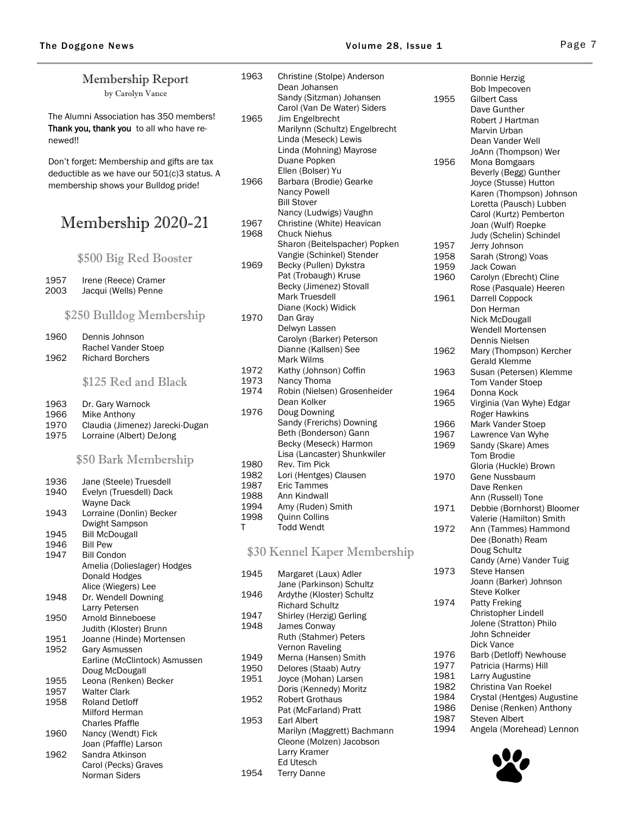Norman Siders

| Membership Report                           |                                                | 1963         | Christine (Stolpe) Anderson<br>Dean Johansen            |              | <b>Bonnie Herzig</b><br>Bob Impecoven                  |
|---------------------------------------------|------------------------------------------------|--------------|---------------------------------------------------------|--------------|--------------------------------------------------------|
|                                             | by Carolyn Vance                               |              | Sandy (Sitzman) Johansen                                | 1955         | <b>Gilbert Cass</b>                                    |
|                                             |                                                |              | Carol (Van De Water) Siders                             |              | Dave Gunther                                           |
|                                             | The Alumni Association has 350 members!        | 1965         | Jim Engelbrecht                                         |              | Robert J Hartman                                       |
|                                             | Thank you, thank you to all who have re-       |              | Marilynn (Schultz) Engelbrecht                          |              | Marvin Urban                                           |
| newed!!                                     |                                                |              | Linda (Meseck) Lewis<br>Linda (Mohning) Mayrose         |              | Dean Vander Well                                       |
|                                             | Don't forget: Membership and gifts are tax     |              | Duane Popken                                            | 1956         | JoAnn (Thompson) Wer<br>Mona Bomgaars                  |
| deductible as we have our 501(c)3 status. A |                                                |              | Ellen (Bolser) Yu                                       |              | Beverly (Begg) Gunther                                 |
| membership shows your Bulldog pride!        |                                                | 1966         | Barbara (Brodie) Gearke                                 |              | Joyce (Stusse) Hutton                                  |
|                                             |                                                |              | Nancy Powell                                            |              | Karen (Thompson) Johnson                               |
|                                             |                                                |              | <b>Bill Stover</b>                                      |              | Loretta (Pausch) Lubben                                |
| Membership 2020-21                          |                                                | 1967         | Nancy (Ludwigs) Vaughn<br>Christine (White) Heavican    |              | Carol (Kurtz) Pemberton                                |
|                                             |                                                | 1968         | <b>Chuck Niehus</b>                                     |              | Joan (Wulf) Roepke<br>Judy (Schelin) Schindel          |
|                                             |                                                |              | Sharon (Beitelspacher) Popken                           | 1957         | Jerry Johnson                                          |
|                                             | \$500 Big Red Booster                          |              | Vangie (Schinkel) Stender                               | 1958         | Sarah (Strong) Voas                                    |
|                                             |                                                | 1969         | Becky (Pullen) Dykstra                                  | 1959         | Jack Cowan                                             |
| 1957                                        | Irene (Reece) Cramer                           |              | Pat (Trobaugh) Kruse                                    | 1960         | Carolyn (Ebrecht) Cline                                |
| 2003                                        | Jacqui (Wells) Penne                           |              | Becky (Jimenez) Stovall<br>Mark Truesdell               | 1961         | Rose (Pasquale) Heeren                                 |
|                                             |                                                |              | Diane (Kock) Widick                                     |              | Darrell Coppock<br>Don Herman                          |
|                                             | \$250 Bulldog Membership                       | 1970         | Dan Gray                                                |              | Nick McDougall                                         |
|                                             |                                                |              | Delwyn Lassen                                           |              | Wendell Mortensen                                      |
| 1960                                        | Dennis Johnson                                 |              | Carolyn (Barker) Peterson                               |              | Dennis Nielsen                                         |
| 1962                                        | Rachel Vander Stoep<br><b>Richard Borchers</b> |              | Dianne (Kallsen) See<br>Mark Wilms                      | 1962         | Mary (Thompson) Kercher                                |
|                                             |                                                | 1972         | Kathy (Johnson) Coffin                                  | 1963         | <b>Gerald Klemme</b>                                   |
|                                             | \$125 Red and Black                            | 1973         | Nancy Thoma                                             |              | Susan (Petersen) Klemme<br>Tom Vander Stoep            |
|                                             |                                                | 1974         | Robin (Nielsen) Grosenheider                            | 1964         | Donna Kock                                             |
| 1963                                        | Dr. Gary Warnock                               |              | Dean Kolker                                             | 1965         | Virginia (Van Wyhe) Edgar                              |
| 1966                                        | Mike Anthony                                   | 1976         | Doug Downing                                            |              | Roger Hawkins                                          |
| 1970                                        | Claudia (Jimenez) Jarecki-Dugan                |              | Sandy (Frerichs) Downing<br>Beth (Bonderson) Gann       | 1966         | Mark Vander Stoep                                      |
| 1975                                        | Lorraine (Albert) DeJong                       |              | Becky (Meseck) Harmon                                   | 1967<br>1969 | Lawrence Van Wyhe<br>Sandy (Skare) Ames                |
|                                             |                                                |              | Lisa (Lancaster) Shunkwiler                             |              | Tom Brodie                                             |
|                                             | \$50 Bark Membership                           | 1980         | Rev. Tim Pick                                           |              | Gloria (Huckle) Brown                                  |
| 1936                                        | Jane (Steele) Truesdell                        | 1982         | Lori (Hentges) Clausen                                  | 1970         | Gene Nussbaum                                          |
| 1940                                        | Evelyn (Truesdell) Dack                        | 1987         | Eric Tammes                                             |              | Dave Renken                                            |
|                                             | Wayne Dack                                     | 1988<br>1994 | Ann Kindwall<br>Amy (Ruden) Smith                       |              | Ann (Russell) Tone                                     |
| 1943                                        | Lorraine (Donlin) Becker                       | 1998         | Quinn Collins                                           | 1971         | Debbie (Bornhorst) Bloomer<br>Valerie (Hamilton) Smith |
|                                             | Dwight Sampson                                 | Т            | <b>Todd Wendt</b>                                       | 1972         | Ann (Tammes) Hammond                                   |
| 1945                                        | <b>Bill McDougall</b>                          |              |                                                         |              | Dee (Bonath) Ream                                      |
| 1946<br>1947                                | <b>Bill Pew</b><br><b>Bill Condon</b>          |              | \$30 Kennel Kaper Membership                            |              | Doug Schultz                                           |
|                                             | Amelia (Dolieslager) Hodges                    |              |                                                         |              | Candy (Arne) Vander Tuig                               |
|                                             | Donald Hodges                                  | 1945         | Margaret (Laux) Adler                                   | 1973         | <b>Steve Hansen</b><br>Joann (Barker) Johnson          |
|                                             | Alice (Wiegers) Lee                            |              | Jane (Parkinson) Schultz                                |              | Steve Kolker                                           |
| 1948                                        | Dr. Wendell Downing                            | 1946         | Ardythe (Kloster) Schultz<br><b>Richard Schultz</b>     | 1974         | Patty Freking                                          |
| 1950                                        | Larry Petersen<br>Arnold Binneboese            | 1947         | Shirley (Herzig) Gerling                                |              | Christopher Lindell                                    |
|                                             | Judith (Kloster) Brunn                         | 1948         | James Conway                                            |              | Jolene (Stratton) Philo                                |
| 1951                                        | Joanne (Hinde) Mortensen                       |              | Ruth (Stahmer) Peters                                   |              | John Schneider                                         |
| 1952                                        | Gary Asmussen                                  |              | Vernon Raveling                                         | 1976         | Dick Vance<br>Barb (Detloff) Newhouse                  |
|                                             | Earline (McClintock) Asmussen                  | 1949         | Merna (Hansen) Smith                                    | 1977         | Patricia (Harms) Hill                                  |
|                                             | Doug McDougall                                 | 1950<br>1951 | Delores (Staab) Autry<br>Joyce (Mohan) Larsen           | 1981         | Larry Augustine                                        |
| 1955<br>1957                                | Leona (Renken) Becker<br><b>Walter Clark</b>   |              | Doris (Kennedy) Moritz                                  | 1982         | Christina Van Roekel                                   |
| 1958                                        | <b>Roland Detloff</b>                          | 1952         | <b>Robert Grothaus</b>                                  | 1984         | Crystal (Hentges) Augustine                            |
|                                             | Milford Herman                                 |              | Pat (McFarland) Pratt                                   | 1986         | Denise (Renken) Anthony                                |
|                                             | <b>Charles Pfaffle</b>                         | 1953         | Earl Albert                                             | 1987         | Steven Albert                                          |
| 1960                                        | Nancy (Wendt) Fick                             |              | Marilyn (Maggrett) Bachmann<br>Cleone (Molzen) Jacobson | 1994         | Angela (Morehead) Lennon                               |
|                                             | Joan (Pfaffle) Larson                          |              | Larry Kramer                                            |              |                                                        |
| 1962                                        | Sandra Atkinson<br>Carol (Pecks) Graves        |              | Ed Utesch                                               |              |                                                        |
|                                             | Norman Siders                                  | 1954         | <b>Terry Danne</b>                                      |              |                                                        |